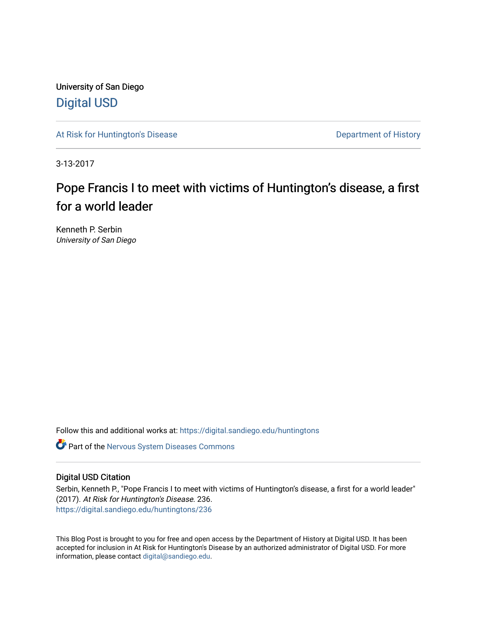University of San Diego [Digital USD](https://digital.sandiego.edu/)

[At Risk for Huntington's Disease](https://digital.sandiego.edu/huntingtons) **Department of History** Department of History

3-13-2017

# Pope Francis I to meet with victims of Huntington's disease, a first for a world leader

Kenneth P. Serbin University of San Diego

Follow this and additional works at: [https://digital.sandiego.edu/huntingtons](https://digital.sandiego.edu/huntingtons?utm_source=digital.sandiego.edu%2Fhuntingtons%2F236&utm_medium=PDF&utm_campaign=PDFCoverPages)

**C** Part of the [Nervous System Diseases Commons](http://network.bepress.com/hgg/discipline/928?utm_source=digital.sandiego.edu%2Fhuntingtons%2F236&utm_medium=PDF&utm_campaign=PDFCoverPages)

### Digital USD Citation

Serbin, Kenneth P., "Pope Francis I to meet with victims of Huntington's disease, a first for a world leader" (2017). At Risk for Huntington's Disease. 236. [https://digital.sandiego.edu/huntingtons/236](https://digital.sandiego.edu/huntingtons/236?utm_source=digital.sandiego.edu%2Fhuntingtons%2F236&utm_medium=PDF&utm_campaign=PDFCoverPages)

This Blog Post is brought to you for free and open access by the Department of History at Digital USD. It has been accepted for inclusion in At Risk for Huntington's Disease by an authorized administrator of Digital USD. For more information, please contact [digital@sandiego.edu.](mailto:digital@sandiego.edu)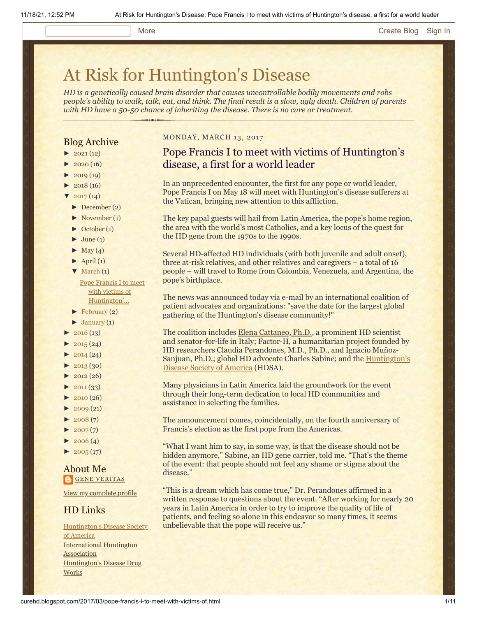#### More **[Create Blog](https://www.blogger.com/home#create) [Sign In](https://www.blogger.com/)**

# [At Risk for Huntington's Disease](http://curehd.blogspot.com/)

*HD is a genetically caused brain disorder that causes uncontrollable bodily movements and robs people's ability to walk, talk, eat, and think. The final result is a slow, ugly death. Children of parents with HD have a 50-50 chance of inheriting the disease. There is no cure or treatment.*

### Blog Archive

- $\blacktriangleright$  [2021](http://curehd.blogspot.com/2021/)(12)
- $-2020(16)$  $-2020(16)$  $-2020(16)$
- $2019(19)$  $2019(19)$
- $\blacktriangleright$  [2018](http://curehd.blogspot.com/2018/) (16)
- $2017(14)$  $2017(14)$ 
	- [►](javascript:void(0)) [December](http://curehd.blogspot.com/2017/12/) (2)
- [►](javascript:void(0)) [November](http://curehd.blogspot.com/2017/11/) (1)
- $\blacktriangleright$  [October](http://curehd.blogspot.com/2017/10/) (1)
- $\blacktriangleright$  [June](http://curehd.blogspot.com/2017/06/) (1)
- $\blacktriangleright$  [May](http://curehd.blogspot.com/2017/05/) (4)
- $\blacktriangleright$  [April](http://curehd.blogspot.com/2017/04/) (1)
- $\nabla$  [March](http://curehd.blogspot.com/2017/03/) (1)

Pope Francis I to meet with victims of [Huntington'...](http://curehd.blogspot.com/2017/03/pope-francis-i-to-meet-with-victims-of.html)

 $\blacktriangleright$  [February](http://curehd.blogspot.com/2017/02/) (2)

- $\blacktriangleright$  [January](http://curehd.blogspot.com/2017/01/) (1)
- $\blacktriangleright$  [2016](http://curehd.blogspot.com/2016/) (13)
- $\blacktriangleright$  [2015](http://curehd.blogspot.com/2015/) (24)
- $\blacktriangleright$  [2014](http://curehd.blogspot.com/2014/) (24)
- $\blacktriangleright$  [2013](http://curehd.blogspot.com/2013/) (30)
- $\blacktriangleright$  [2012](http://curehd.blogspot.com/2012/) (26)
- $\blacktriangleright$  [2011](http://curehd.blogspot.com/2011/) (33)
- $\blacktriangleright$  [2010](http://curehd.blogspot.com/2010/) (26)
- $\blacktriangleright$  [2009](http://curehd.blogspot.com/2009/) (21)
- $\blacktriangleright$  [2008](http://curehd.blogspot.com/2008/) $(7)$
- $\blacktriangleright$  [2007](http://curehd.blogspot.com/2007/) $(7)$
- $\blacktriangleright$  [2006](http://curehd.blogspot.com/2006/) (4)
- $\blacktriangleright$  [2005](http://curehd.blogspot.com/2005/) (17)

About Me **GENE [VERITAS](https://www.blogger.com/profile/10911736205741688185)** 

View my [complete](https://www.blogger.com/profile/10911736205741688185) profile

#### HD Links

[Huntington's](http://www.hdsa.org/) Disease Society of America [International](http://www.huntington-assoc.com/) Huntington **Association** [Huntington's](http://hddrugworks.org/) Disease Drug **Works** 

#### MONDAY, MARCH 13, 2017

## Pope Francis I to meet with victims of Huntington's disease, a first for a world leader

In an unprecedented encounter, the first for any pope or world leader, Pope Francis I on May 18 will meet with Huntington's disease sufferers at the Vatican, bringing new attention to this affliction.

The key papal guests will hail from Latin America, the pope's home region, the area with the world's most Catholics, and a key locus of the quest for the HD gene from the 1970s to the 1990s.

Several HD-affected HD individuals (with both juvenile and adult onset), three at-risk relatives, and other relatives and caregivers – a total of 16 people – will travel to Rome from Colombia, Venezuela, and Argentina, the pope's birthplace.

The news was announced today via e-mail by an international coalition of patient advocates and organizations: "save the date for the largest global gathering of the Huntington's disease community!"

The coalition includes [Elena Cattaneo, Ph.D.](http://www.cattaneolab.it/?page_id=42&lang=en), a prominent HD scientist and senator-for-life in Italy; Factor-H, a humanitarian project founded by HD researchers Claudia Perandones, M.D., Ph.D., and Ignacio Muñoz-[Sanjuan, Ph.D.; global HD advocate Charles](http://www.hdsa.org/) Sabine; and the Huntington's Disease Society of America (HDSA).

Many physicians in Latin America laid the groundwork for the event through their long-term dedication to local HD communities and assistance in selecting the families.

The announcement comes, coincidentally, on the fourth anniversary of Francis's election as the first pope from the Americas.

"What I want him to say, in some way, is that the disease should not be hidden anymore," Sabine, an HD gene carrier, told me. "That's the theme of the event: that people should not feel any shame or stigma about the disease."

"This is a dream which has come true," Dr. Perandones affirmed in a written response to questions about the event. "After working for nearly 20 years in Latin America in order to try to improve the quality of life of patients, and feeling so alone in this endeavor so many times, it seems unbelievable that the pope will receive us."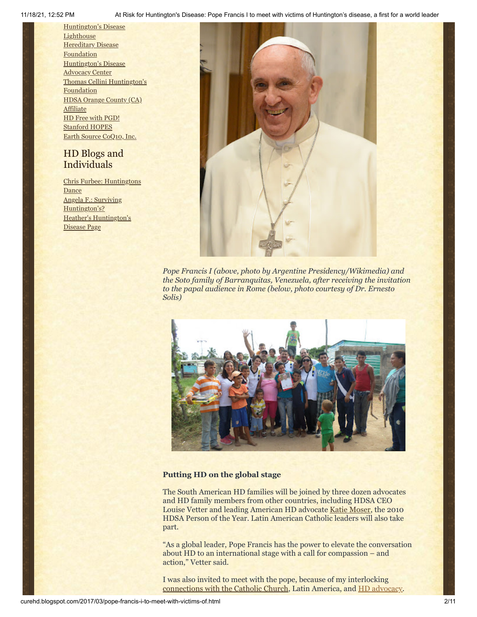[Huntington's](http://www.hdlighthouse.org/) Disease **Lighthouse Hereditary Disease [Foundation](http://www.hdfoundation.org/)** [Huntington's](http://www.hdac.org/) Disease Advocacy Center Thomas [Cellini Huntington's](http://www.ourtchfoundation.org/) **Foundation** HDSA [Orange](http://www.hdsaoc.org/) County (CA) **Affiliate** HD Free with [PGD!](http://www.hdfreewithpgd.com/) [Stanford](http://www.stanford.edu/group/hopes/) HOPES Earth Source [CoQ10,](http://www.escoq10.com/) Inc.

## HD Blogs and Individuals

Chris Furbee: [Huntingtons](http://www.huntingtonsdance.org/) Dance Angela F.: Surviving [Huntington's?](http://survivinghuntingtons.blogspot.com/) Heather's [Huntington's](http://heatherdugdale.angelfire.com/) Disease Page



*Pope Francis I (above, photo by Argentine Presidency/Wikimedia) and the Soto family of Barranquitas, Venezuela, after receiving the invitation to the papal audience in Rome (below, photo courtesy of Dr. Ernesto Solis)*



#### **Putting HD on the global stage**

The South American HD families will be joined by three dozen advocates and HD family members from other countries, including HDSA CEO Louise Vetter and leading American HD advocate [Katie Moser,](http://www.nytimes.com/2007/03/18/health/18huntington.html) the 2010 HDSA Person of the Year. Latin American Catholic leaders will also take part.

"As a global leader, Pope Francis has the power to elevate the conversation about HD to an international stage with a call for compassion – and action," Vetter said.

I was also invited to meet with the pope, because of my interlocking [connections with the Catholic Church](https://www.sandiego.edu/cas/history/faculty-and-staff/biography.php?profile_id=87), Latin America, and [HD advocacy](http://curehd.blogspot.com/2013/09/reaching-out-to-hd-family-at-world.html).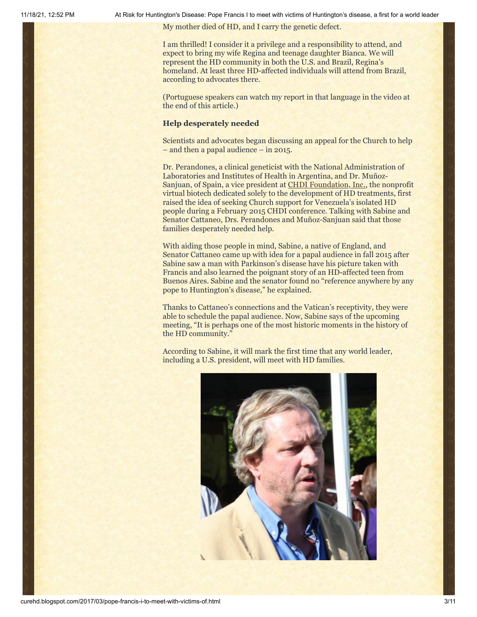My mother died of HD, and I carry the genetic defect.

I am thrilled! I consider it a privilege and a responsibility to attend, and expect to bring my wife Regina and teenage daughter Bianca. We will represent the HD community in both the U.S. and Brazil, Regina's homeland. At least three HD-affected individuals will attend from Brazil, according to advocates there.

(Portuguese speakers can watch my report in that language in the video at the end of this article.)

#### **Help desperately needed**

Scientists and advocates began discussing an appeal for the Church to help – and then a papal audience – in 2015.

Dr. Perandones, a clinical geneticist with the National Administration of Laboratories and Institutes of Health in Argentina, and Dr. Muñoz-Sanjuan, of Spain, a vice president at [CHDI Foundation, Inc.](http://chdifoundation.org/), the nonprofit virtual biotech dedicated solely to the development of HD treatments, first raised the idea of seeking Church support for Venezuela's isolated HD people during a February 2015 CHDI conference. Talking with Sabine and Senator Cattaneo, Drs. Perandones and Muñoz-Sanjuan said that those families desperately needed help.

With aiding those people in mind, Sabine, a native of England, and Senator Cattaneo came up with idea for a papal audience in fall 2015 after Sabine saw a man with Parkinson's disease have his picture taken with Francis and also learned the poignant story of an HD-affected teen from Buenos Aires. Sabine and the senator found no "reference anywhere by any pope to Huntington's disease," he explained.

Thanks to Cattaneo's connections and the Vatican's receptivity, they were able to schedule the papal audience. Now, Sabine says of the upcoming meeting, "It is perhaps one of the most historic moments in the history of the HD community."

According to Sabine, it will mark the first time that any world leader, including a U.S. president, will meet with HD families.

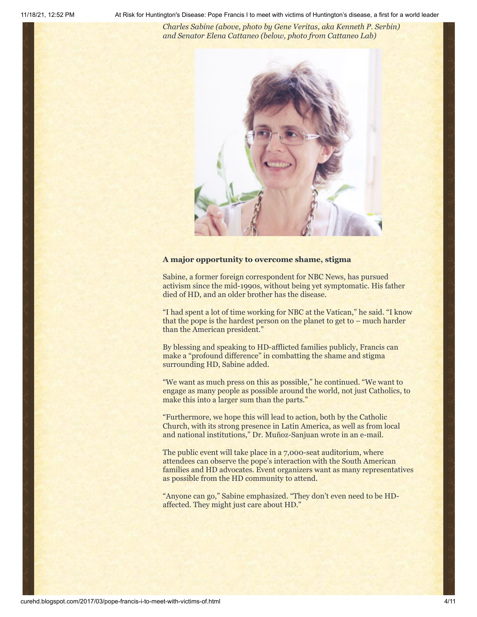*Charles Sabine (above, photo by Gene Veritas, aka Kenneth P. Serbin) and Senator Elena Cattaneo (below, photo from Cattaneo Lab)*



#### **A major opportunity to overcome shame, stigma**

Sabine, a former foreign correspondent for NBC News, has pursued activism since the mid-1990s, without being yet symptomatic. His father died of HD, and an older brother has the disease.

"I had spent a lot of time working for NBC at the Vatican," he said. "I know that the pope is the hardest person on the planet to get to – much harder than the American president."

By blessing and speaking to HD-afflicted families publicly, Francis can make a "profound difference" in combatting the shame and stigma surrounding HD, Sabine added.

"We want as much press on this as possible," he continued. "We want to engage as many people as possible around the world, not just Catholics, to make this into a larger sum than the parts."

"Furthermore, we hope this will lead to action, both by the Catholic Church, with its strong presence in Latin America, as well as from local and national institutions," Dr. Muñoz-Sanjuan wrote in an e-mail.

The public event will take place in a 7,000-seat auditorium, where attendees can observe the pope's interaction with the South American families and HD advocates. Event organizers want as many representatives as possible from the HD community to attend.

"Anyone can go," Sabine emphasized. "They don't even need to be HDaffected. They might just care about HD."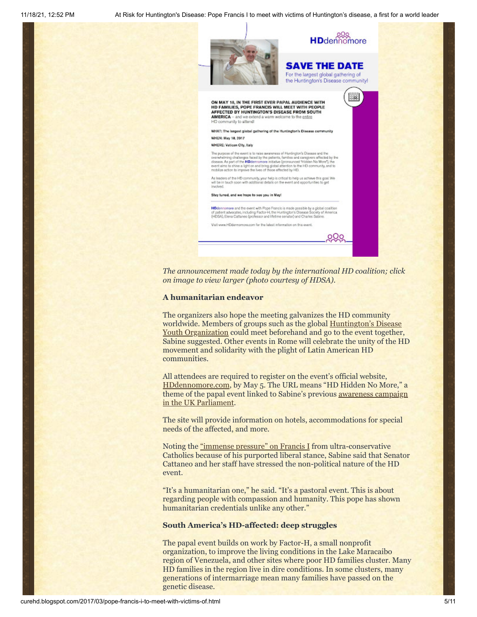

*The announcement made today by the international HD coalition; click on image to view larger (photo courtesy of HDSA).*

#### **A humanitarian endeavor**

The organizers also hope the meeting galvanizes the HD community worldwide. Members of groups such as the global Huntington's Disease Youth Organization [could meet beforehand and go to the event together](https://en.hdyo.org/), Sabine suggested. Other events in Rome will celebrate the unity of the HD movement and solidarity with the plight of Latin American HD communities.

All attendees are required to register on the event's official website, [HDdennomore.com](http://hddennomore.com/), by May 5. The URL means "HD Hidden No More," a theme of the papal event linked to Sabine's previous <u>awareness campaign</u> in the UK Parliament.

The site will provide information on hotels, accommodations for special needs of the affected, and more.

Noting the ["immense pressure" on Francis I](https://www.theguardian.com/world/2017/mar/04/vatican-civil-war-conservatives-battle-francis-lent) from ultra-conservative Catholics because of his purported liberal stance, Sabine said that Senator Cattaneo and her staff have stressed the non-political nature of the HD event.

"It's a humanitarian one," he said. "It's a pastoral event. This is about regarding people with compassion and humanity. This pope has shown humanitarian credentials unlike any other."

#### **South America's HD-affected: deep struggles**

The papal event builds on work by Factor-H, a small nonprofit organization, to improve the living conditions in the Lake Maracaibo region of Venezuela, and other sites where poor HD families cluster. Many HD families in the region live in dire conditions. In some clusters, many generations of intermarriage mean many families have passed on the genetic disease.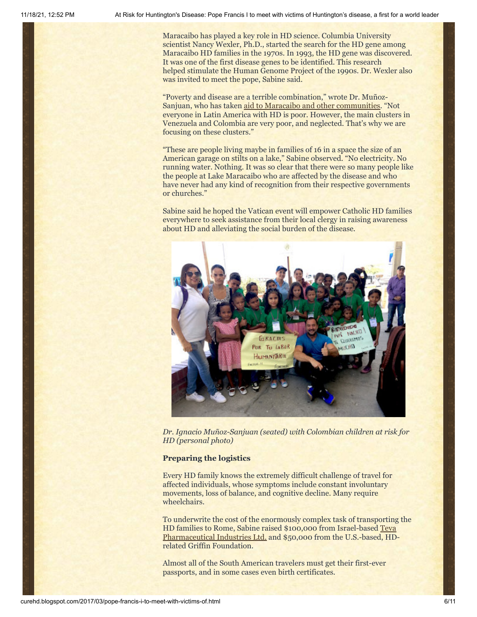Maracaibo has played a key role in HD science. Columbia University scientist Nancy Wexler, Ph.D., started the search for the HD gene among Maracaibo HD families in the 1970s. In 1993, the HD gene was discovered. It was one of the first disease genes to be identified. This research helped stimulate the Human Genome Project of the 1990s. Dr. Wexler also was invited to meet the pope, Sabine said.

"Poverty and disease are a terrible combination," wrote Dr. MuñozSanjuan, who has taken [aid to Maracaibo and other communities](http://www.nature.com/news/support-communities-involved-in-disease-studies-1.19516). "Not everyone in Latin America with HD is poor. However, the main clusters in Venezuela and Colombia are very poor, and neglected. That's why we are focusing on these clusters."

"These are people living maybe in families of 16 in a space the size of an American garage on stilts on a lake," Sabine observed. "No electricity. No running water. Nothing. It was so clear that there were so many people like the people at Lake Maracaibo who are affected by the disease and who have never had any kind of recognition from their respective governments or churches."

Sabine said he hoped the Vatican event will empower Catholic HD families everywhere to seek assistance from their local clergy in raising awareness about HD and alleviating the social burden of the disease.



*Dr. Ignacio Muñoz-Sanjuan (seated) with Colombian children at risk for HD (personal photo)*

#### **Preparing the logistics**

Every HD family knows the extremely difficult challenge of travel for affected individuals, whose symptoms include constant involuntary movements, loss of balance, and cognitive decline. Many require wheelchairs.

To underwrite the cost of the enormously complex task of transporting the HD families to Rome, [Sabine raised \\$100,000 from Israel-based Teva](http://tevapharm.com/) Pharmaceutical Industries Ltd. and \$50,000 from the U.S.-based, HDrelated Griffin Foundation.

Almost all of the South American travelers must get their first-ever passports, and in some cases even birth certificates.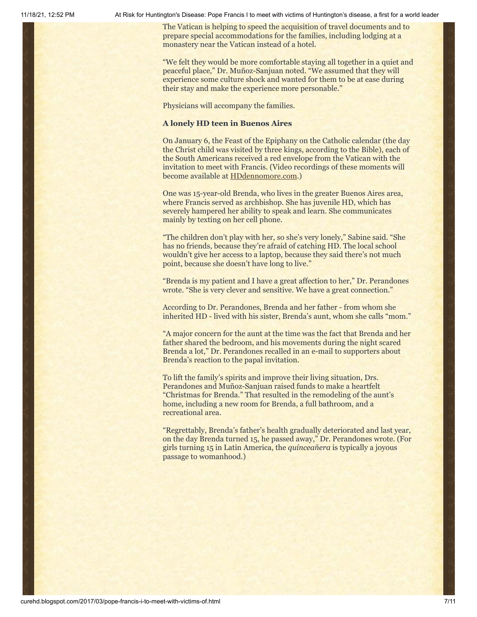The Vatican is helping to speed the acquisition of travel documents and to prepare special accommodations for the families, including lodging at a monastery near the Vatican instead of a hotel.

"We felt they would be more comfortable staying all together in a quiet and peaceful place," Dr. Muñoz-Sanjuan noted. "We assumed that they will experience some culture shock and wanted for them to be at ease during their stay and make the experience more personable."

Physicians will accompany the families.

#### **A lonely HD teen in Buenos Aires**

On January 6, the Feast of the Epiphany on the Catholic calendar (the day the Christ child was visited by three kings, according to the Bible), each of the South Americans received a red envelope from the Vatican with the invitation to meet with Francis. (Video recordings of these moments will become available at [HDdennomore.com.](http://hddennomore.com/))

One was 15-year-old Brenda, who lives in the greater Buenos Aires area, where Francis served as archbishop. She has juvenile HD, which has severely hampered her ability to speak and learn. She communicates mainly by texting on her cell phone.

"The children don't play with her, so she's very lonely," Sabine said. "She has no friends, because they're afraid of catching HD. The local school wouldn't give her access to a laptop, because they said there's not much point, because she doesn't have long to live."

"Brenda is my patient and I have a great affection to her," Dr. Perandones wrote. "She is very clever and sensitive. We have a great connection."

According to Dr. Perandones, Brenda and her father - from whom she inherited HD - lived with his sister, Brenda's aunt, whom she calls "mom."

"A major concern for the aunt at the time was the fact that Brenda and her father shared the bedroom, and his movements during the night scared Brenda a lot," Dr. Perandones recalled in an e-mail to supporters about Brenda's reaction to the papal invitation.

To lift the family's spirits and improve their living situation, Drs. Perandones and Muñoz-Sanjuan raised funds to make a heartfelt "Christmas for Brenda." That resulted in the remodeling of the aunt's home, including a new room for Brenda, a full bathroom, and a recreational area.

"Regrettably, Brenda's father's health gradually deteriorated and last year, on the day Brenda turned 15, he passed away," Dr. Perandones wrote. (For girls turning 15 in Latin America, the *quinceañera* is typically a joyous passage to womanhood.)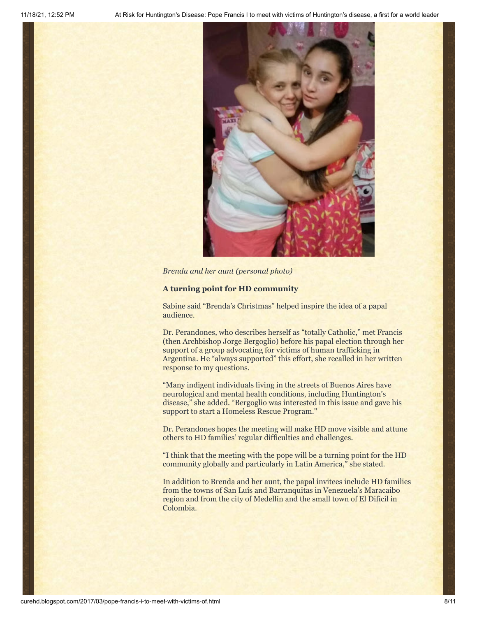

*Brenda and her aunt (personal photo)*

#### **A turning point for HD community**

Sabine said "Brenda's Christmas" helped inspire the idea of a papal audience.

Dr. Perandones, who describes herself as "totally Catholic," met Francis (then Archbishop Jorge Bergoglio) before his papal election through her support of a group advocating for victims of human trafficking in Argentina. He "always supported" this effort, she recalled in her written response to my questions.

"Many indigent individuals living in the streets of Buenos Aires have neurological and mental health conditions, including Huntington's disease," she added. "Bergoglio was interested in this issue and gave his support to start a Homeless Rescue Program."

Dr. Perandones hopes the meeting will make HD move visible and attune others to HD families' regular difficulties and challenges.

"I think that the meeting with the pope will be a turning point for the HD community globally and particularly in Latin America," she stated.

In addition to Brenda and her aunt, the papal invitees include HD families from the towns of San Luís and Barranquitas in Venezuela's Maracaibo region and from the city of Medellín and the small town of El Difícil in Colombia.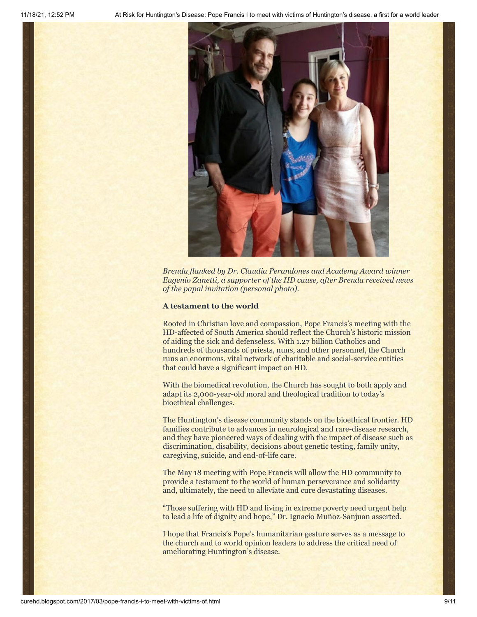

*Brenda flanked by Dr. Claudia Perandones and Academy Award winner Eugenio Zanetti, a supporter of the HD cause, after Brenda received news of the papal invitation (personal photo).*

#### **A testament to the world**

Rooted in Christian love and compassion, Pope Francis's meeting with the HD-affected of South America should reflect the Church's historic mission of aiding the sick and defenseless. With 1.27 billion Catholics and hundreds of thousands of priests, nuns, and other personnel, the Church runs an enormous, vital network of charitable and social-service entities that could have a significant impact on HD.

With the biomedical revolution, the Church has sought to both apply and adapt its 2,000-year-old moral and theological tradition to today's bioethical challenges.

The Huntington's disease community stands on the bioethical frontier. HD families contribute to advances in neurological and rare-disease research, and they have pioneered ways of dealing with the impact of disease such as discrimination, disability, decisions about genetic testing, family unity, caregiving, suicide, and end-of-life care.

The May 18 meeting with Pope Francis will allow the HD community to provide a testament to the world of human perseverance and solidarity and, ultimately, the need to alleviate and cure devastating diseases.

"Those suffering with HD and living in extreme poverty need urgent help to lead a life of dignity and hope," Dr. Ignacio Muñoz-Sanjuan asserted.

I hope that Francis's Pope's humanitarian gesture serves as a message to the church and to world opinion leaders to address the critical need of ameliorating Huntington's disease.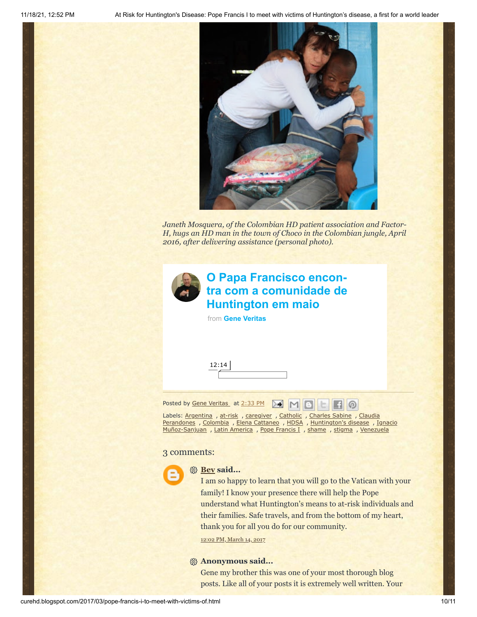

*Janeth Mosquera, of the Colombian HD patient association and Factor-H, hugs an HD man in the town of Choco in the Colombian jungle, April 2016, after delivering assistance (personal photo).*



# **O Papa Francisco encon[tra com a comunidade de](https://vimeo.com/208211082?embedded=true&source=video_title&owner=6019843) Huntington em maio**

from **[Gene Veritas](https://vimeo.com/user6019843?embedded=true&source=owner_name&owner=6019843)**



Posted by Gene [Veritas](https://www.blogger.com/profile/10911736205741688185) at [2:33](http://curehd.blogspot.com/2017/03/pope-francis-i-to-meet-with-victims-of.html) PM  $\mathbb{R}$   $\mathbb{N}$   $\mathbb{R}$ 

Labels: [Argentina](http://curehd.blogspot.com/search/label/Argentina) , [at-risk](http://curehd.blogspot.com/search/label/at-risk) , [caregiver](http://curehd.blogspot.com/search/label/caregiver) , [Catholic](http://curehd.blogspot.com/search/label/Catholic) , [Charles](http://curehd.blogspot.com/search/label/Charles%20Sabine) Sabine , Claudia Perandones , [Colombia](http://curehd.blogspot.com/search/label/Colombia) , Elena [Cattaneo](http://curehd.blogspot.com/search/label/Elena%20Cattaneo) , [HDSA](http://curehd.blogspot.com/search/label/HDSA) , [Huntington's](http://curehd.blogspot.com/search/label/Claudia%20Perandones) disease , Ignacio [Muñoz-Sanjuan](http://curehd.blogspot.com/search/label/Ignacio%20Mu%C3%B1oz-Sanjuan) , Latin [America](http://curehd.blogspot.com/search/label/Latin%20America) , Pope [Francis](http://curehd.blogspot.com/search/label/Pope%20Francis%20I) I , [shame](http://curehd.blogspot.com/search/label/shame) , [stigma](http://curehd.blogspot.com/search/label/stigma) , [Venezuela](http://curehd.blogspot.com/search/label/Venezuela)

#### 3 comments:



#### **[Bev](https://www.blogger.com/profile/03503485303129848329) said...**

I am so happy to learn that you will go to the Vatican with your family! I know your presence there will help the Pope understand what Huntington's means to at-risk individuals and their families. Safe travels, and from the bottom of my heart, thank you for all you do for our community.

 $\Box$ 

12:02 PM, [March](http://curehd.blogspot.com/2017/03/pope-francis-i-to-meet-with-victims-of.html?showComment=1489518157917#c2012353953571089488) 14, 2017

#### **Anonymous said...**

Gene my brother this was one of your most thorough blog posts. Like all of your posts it is extremely well written. Your